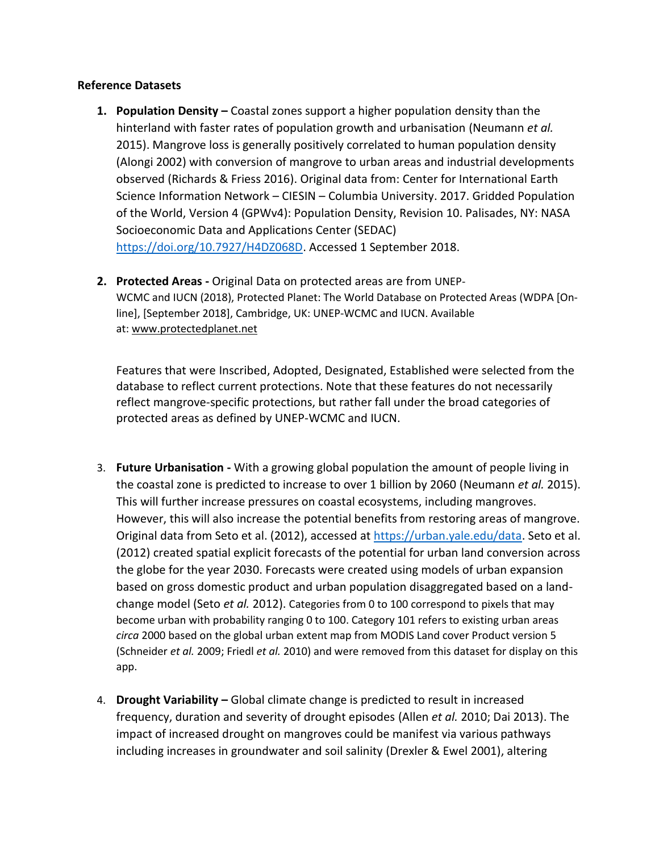## **Reference Datasets**

- **1. Population Density –** Coastal zones support a higher population density than the hinterland with faster rates of population growth and urbanisation (Neumann *et al.* 2015). Mangrove loss is generally positively correlated to human population density (Alongi 2002) with conversion of mangrove to urban areas and industrial developments observed (Richards & Friess 2016). Original data from: Center for International Earth Science Information Network – CIESIN – Columbia University. 2017. Gridded Population of the World, Version 4 (GPWv4): Population Density, Revision 10. Palisades, NY: NASA Socioeconomic Data and Applications Center (SEDAC) [https://doi.org/10.7927/H4DZ068D.](https://doi.org/10.7927/H4DZ068D) Accessed 1 September 2018.
- **2. Protected Areas -** Original Data on protected areas are from UNEP-WCMC and IUCN (2018), Protected Planet: The World Database on Protected Areas (WDPA [Online], [September 2018], Cambridge, UK: UNEP-WCMC and IUCN. Available at: [www.protectedplanet.net](http://www.protectedplanet.net/)

Features that were Inscribed, Adopted, Designated, Established were selected from the database to reflect current protections. Note that these features do not necessarily reflect mangrove-specific protections, but rather fall under the broad categories of protected areas as defined by UNEP-WCMC and IUCN.

- 3. **Future Urbanisation -** With a growing global population the amount of people living in the coastal zone is predicted to increase to over 1 billion by 2060 (Neumann *et al.* 2015). This will further increase pressures on coastal ecosystems, including mangroves. However, this will also increase the potential benefits from restoring areas of mangrove. Original data from Seto et al. (2012), accessed at [https://urban.yale.edu/data.](https://urban.yale.edu/data) Seto et al. (2012) created spatial explicit forecasts of the potential for urban land conversion across the globe for the year 2030. Forecasts were created using models of urban expansion based on gross domestic product and urban population disaggregated based on a landchange model (Seto *et al.* 2012). Categories from 0 to 100 correspond to pixels that may become urban with probability ranging 0 to 100. Category 101 refers to existing urban areas *circa* 2000 based on the global urban extent map from MODIS Land cover Product version 5 (Schneider *et al.* 2009; Friedl *et al.* 2010) and were removed from this dataset for display on this app.
- 4. **Drought Variability –** Global climate change is predicted to result in increased frequency, duration and severity of drought episodes (Allen *et al.* 2010; Dai 2013). The impact of increased drought on mangroves could be manifest via various pathways including increases in groundwater and soil salinity (Drexler & Ewel 2001), altering